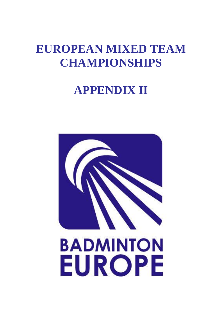# **EUROPEAN MIXED TEAM CHAMPIONSHIPS**

# **APPENDIX II**

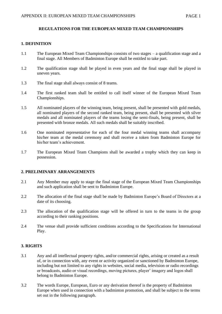## **REGULATIONS FOR THE EUROPEAN MIXED TEAM CHAMPIONSHIPS**

## **1. DEFINITION**

- 1.1 The European Mixed Team Championships consists of two stages a qualification stage and a final stage. All Members of Badminton Europe shall be entitled to take part.
- 1.2 The qualification stage shall be played in even years and the final stage shall be played in uneven years.
- 1.3 The final stage shall always consist of 8 teams.
- 1.4 The first ranked team shall be entitled to call itself winner of the European Mixed Team Championships.
- 1.5 All nominated players of the winning team, being present, shall be presented with gold medals, all nominated players of the second ranked team, being present, shall be presented with silver medals and all nominated players of the teams losing the semi-finals, being present, shall be presented with bronze medals. All such medals shall be suitably inscribed.
- 1.6 One nominated representative for each of the four medal winning teams shall accompany his/her team at the medal ceremony and shall receive a token from Badminton Europe for his/her team's achievement.
- 1.7 The European Mixed Team Champions shall be awarded a trophy which they can keep in possession.

#### **2. PRELIMINARY ARRANGEMENTS**

- 2.1 Any Member may apply to stage the final stage of the European Mixed Team Championships and such application shall be sent to Badminton Europe.
- 2.2 The allocation of the final stage shall be made by Badminton Europe's Board of Directors at a date of its choosing.
- 2.3 The allocation of the qualification stage will be offered in turn to the teams in the group according to their ranking positions.
- 2.4 The venue shall provide sufficient conditions according to the Specifications for International Play.

## **3. RIGHTS**

- 3.1 Any and all intellectual property rights, and/or commercial rights, arising or created as a result of, or in connection with, any event or activity organized or sanctioned by Badminton Europe, including but not limited to any rights in websites, social media, television or radio recordings or broadcasts, audio or visual recordings, moving pictures, player' imagery and logos shall belong to Badminton Europe.
- 3.2 The words Europe, European, Euro or any derivation thereof is the property of Badminton Europe when used in connection with a badminton promotion, and shall be subject to the terms set out in the following paragraph.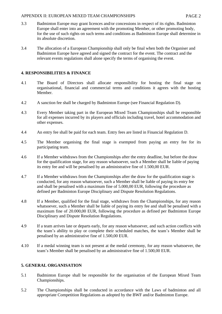- 3.3 Badminton Europe may grant licences and/or concessions in respect of its rights. Badminton Europe shall enter into an agreement with the promoting Member, or other promoting body, for the use of such rights on such terms and conditions as Badminton Europe shall determine in its absolute discretion.
- 3.4 The allocation of a European Championship shall only be final when both the Organiser and Badminton Europe have agreed and signed the contract for the event. The contract and the relevant events regulations shall alone specify the terms of organising the event.

## **4. RESPONSIBILITIES & FINANCE**

- 4.1 The Board of Directors shall allocate responsibility for hosting the final stage on organisational, financial and commercial terms and conditions it agrees with the hosting Member.
- 4.2 A sanction fee shall be charged by Badminton Europe (see Financial Regulation D).
- 4.3 Every Member taking part in the European Mixed Team Championships shall be responsible for all expenses incurred by its players and officials including travel, hotel accommodation and other expenses.
- 4.4 An entry fee shall be paid for each team. Entry fees are listed in Financial Regulation D.
- 4.5 The Member organising the final stage is exempted from paying an entry fee for its participating team.
- 4.6 If a Member withdraws from the Championships after the entry deadline, but before the draw for the qualification stage, for any reason whatsoever, such a Member shall be liable of paying its entry fee and will be penalised by an administrative fine of 1.500,00 EUR.
- 4.7 If a Member withdraws from the Championships after the draw for the qualification stage is conducted, for any reason whatsoever, such a Member shall be liable of paying its entry fee and shall be penalised with a maximum fine of 5.000,00 EUR, following the procedure as defined per Badminton Europe Disciplinary and Dispute Resolution Regulations.
- 4.8 If a Member, qualified for the final stage, withdraws from the Championships, for any reason whatsoever, such a Member shall be liable of paying its entry fee and shall be penalised with a maximum fine of 20.000,00 EUR, following the procedure as defined per Badminton Europe Disciplinary and Dispute Resolution Regulations.
- 4.9 If a team arrives late or departs early, for any reason whatsoever, and such action conflicts with the team's ability to play or complete their scheduled matches, the team's Member shall be penalised by an administrative fine of 1.500,00 EUR.
- 4.10 If a medal winning team is not present at the medal ceremony, for any reason whatsoever, the team's Member shall be penalised by an administrative fine of 1.500,00 EUR.

## **5. GENERAL ORGANISATION**

- 5.1 Badminton Europe shall be responsible for the organisation of the European Mixed Team Championships.
- 5.2 The Championships shall be conducted in accordance with the Laws of badminton and all appropriate Competition Regulations as adopted by the BWF and/or Badminton Europe.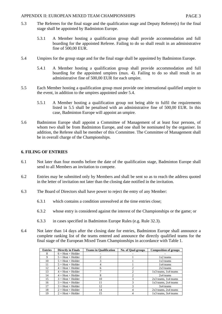- 5.3 The Referees for the final stage and the qualification stage and Deputy Referee(s) for the final stage shall be appointed by Badminton Europe.
	- 5.3.1 A Member hosting a qualification group shall provide accommodation and full boarding for the appointed Referee. Failing to do so shall result in an administrative fine of 500,00 EUR.
- 5.4 Umpires for the group stage and for the final stage shall be appointed by Badminton Europe.
	- 5.4.1 A Member hosting a qualification group shall provide accommodation and full boarding for the appointed umpires (max. 4). Failing to do so shall result in an administrative fine of 500,00 EUR for each umpire.
- 5.5 Each Member hosting a qualification group must provide one international qualified umpire to the event, in addition to the umpires appointed under 5.4.
	- 5.5.1 A Member hosting a qualification group not being able to fulfil the requirements listed in 5.5 shall be penalised with an administrative fine of 500,00 EUR. In this case, Badminton Europe will appoint an umpire.
- 5.6 Badminton Europe shall appoint a Committee of Management of at least four persons, of whom two shall be from Badminton Europe, and one shall be nominated by the organiser. In addition, the Referee shall be member of this Committee. The Committee of Management shall be in overall charge of the Championships.

## **6. FILING OF ENTRIES**

- 6.1 Not later than four months before the date of the qualification stage, Badminton Europe shall send to all Members an invitation to compete.
- 6.2 Entries may be submitted only by Members and shall be sent so as to reach the address quoted in the letter of invitation not later than the closing date notified in the invitation.
- 6.3 The Board of Directors shall have power to reject the entry of any Member:
	- 6.3.1 which contains a condition unresolved at the time entries close;
	- 6.3.2 whose entry is considered against the interest of the Championships or the game; or
	- 6.3.3 in cases specified in Badminton Europe Rules (e.g. Rule 32.3).
- 6.4 Not later than 14 days after the closing date for entries, Badminton Europe shall announce a complete ranking list of the teams entered and announce the directly qualified teams for the final stage of the European Mixed Team Championships in accordance with Table 1.

| <b>Entries</b> | <b>Directly in Finals</b> | <b>Teams in Qualification</b> | <b>No. of Qual-groups</b> | <b>Composition of groups</b> |
|----------------|---------------------------|-------------------------------|---------------------------|------------------------------|
| 8              | $6 + Host + Holder$       |                               |                           |                              |
| 9              | $5 + Host + Holder$       |                               |                           | $1x2$ teams                  |
| 10             | $5 + Host + Holder$       |                               |                           | $1x3$ teams                  |
| 11             | $5 + Host + Holder$       |                               |                           | 1x4 teams                    |
| 12             | $4 + Host + Holder$       | 6                             |                           | $2x3$ teams                  |
| 13             | $4 + Host + Holder$       |                               |                           | 1x3 teams, 1x4 teams         |
| 14             | $4 + Host + Holder$       | 8                             |                           | 2x4 teams                    |
| 15             | $3 + Host + Holder$       | 10                            |                           | $2x3$ teams, $1x4$ teams     |
| 16             | $3 + Host + Holder$       | 11                            | 3                         | $1x3$ teams, $2x4$ teams     |
| 17             | $3 + Host + Holder$       | 12                            |                           | 3x4 teams                    |
| 18             | $2 + Host + Holder$       | 14                            |                           | $2x3$ teams, $2x4$ teams     |
| 19             | $2 + Host + Holder$       | 15                            |                           | 1x3 teams, 3x4 teams         |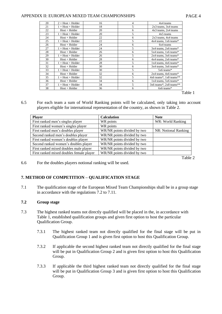| 20 | $2 + Host + Holder$ | 16 | 4 | 4x4 teams                 |
|----|---------------------|----|---|---------------------------|
| 21 | $1 + Host + Holder$ | 18 | 5 | $2x3$ teams, $3x4$ teams  |
| 22 | $Host + Holder$     | 20 | 6 | $4x3$ teams, $2x4$ teams  |
| 23 | $1 + Host + Holder$ | 20 | 5 | $4x5$ teams               |
| 24 | $Host + Holder$     | 22 | 6 | 2x3 teams, 4x4 teams      |
| 25 | $1 + Host + Holder$ | 22 | 5 | $4x4$ teams, 1x6 teams*   |
| 26 | $Host + Holder$     | 24 | 6 | 6x4 teams                 |
| 27 | $1 + Host + Holder$ | 24 | 5 | 3x4 teams, 2x6 teams*     |
| 28 | $Host + Holder$     | 26 | 6 | 5x4 teams, 1x6 teams*     |
| 29 | $1 + Host + Holder$ | 26 | 5 | 2x4 teams, 3x6 teams*     |
| 30 | $Host + Holder$     | 28 | 6 | 4x4 teams, 2x6 teams*     |
| 31 | $1 + Host + Holder$ | 28 | 5 | 1x4 teams, 4x6 teams*     |
| 32 | $Host + Holder$     | 30 | 6 | 3x4 teams, 3x6 teams*     |
| 33 | $1 + Host + Holder$ | 30 | 5 | 5x6 teams*                |
| 34 | $Host + Holder$     | 32 | 6 | $2x4$ teams, $4x6$ teams* |
| 35 | $1 + Host + Holder$ | 32 | 5 | 4x6 teams*, 1x8 teams**   |
| 36 | $Host + Holder$     | 34 | 6 | 1x4 teams, 5x6 teams*     |
| 37 | $1 + Host + Holder$ | 34 | 5 | 3x6 teams*, 2x8 teams**   |
| 38 | $Host + Holder$     | 36 | 6 | 6x6 teams*                |

Table 1

6.5 For each team a sum of World Ranking points will be calculated, only taking into account players eligible for international representation of the country, as shown in Table 2.

| <b>Player</b>                            | <b>Calculation</b>          | <b>Note</b>          |  |
|------------------------------------------|-----------------------------|----------------------|--|
| First ranked men's singles player        | WR points                   | WR: World Ranking    |  |
| First ranked women's singles player      | WR points                   |                      |  |
| First ranked men's doubles player        | WR/NR points divided by two | NR: Notional Ranking |  |
| Second ranked men's doubles player       | WR/NR points divided by two |                      |  |
| First ranked women's doubles player      | WR/NR points divided by two |                      |  |
| Second ranked women's doubles player     | WR/NR points divided by two |                      |  |
| First ranked mixed doubles male player   | WR/NR points divided by two |                      |  |
| First ranked mixed doubles female player | WR/NR points divided by two |                      |  |

Table 2

6.6 For the doubles players notional ranking will be used.

## **7. METHOD OF COMPETITION – QUALIFICATION STAGE**

7.1 The qualification stage of the European Mixed Team Championships shall be in a group stage in accordance with the regulations 7.2 to 7.11.

## **7.2 Group stage**

- 7.3 The highest ranked teams not directly qualified will be placed in the, in accordance with Table 1, established qualification groups and given first option to host the particular Qualification Group.
	- 7.3.1 The highest ranked team not directly qualified for the final stage will be put in Qualification Group 1 and is given first option to host this Qualification Group.
	- 7.3.2 If applicable the second highest ranked team not directly qualified for the final stage will be put in Qualification Group 2 and is given first option to host this Qualification Group.
	- 7.3.3 If applicable the third highest ranked team not directly qualified for the final stage will be put in Qualification Group 3 and is given first option to host this Qualification Group.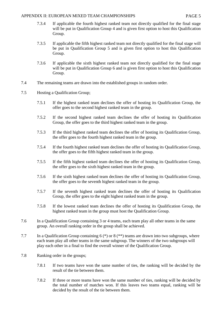- 7.3.4 If applicable the fourth highest ranked team not directly qualified for the final stage will be put in Qualification Group 4 and is given first option to host this Qualification Group.
- 7.3.5 If applicable the fifth highest ranked team not directly qualified for the final stage will be put in Qualification Group 5 and is given first option to host this Qualification Group.
- 7.3.6 If applicable the sixth highest ranked team not directly qualified for the final stage will be put in Qualification Group 6 and is given first option to host this Qualification Group.
- 7.4 The remaining teams are drawn into the established groups in random order.
- 7.5 Hosting a Qualification Group;
	- 7.5.1 If the highest ranked team declines the offer of hosting its Qualification Group, the offer goes to the second highest ranked team in the group.
	- 7.5.2 If the second highest ranked team declines the offer of hosting its Qualification Group, the offer goes to the third highest ranked team in the group.
	- 7.5.3 If the third highest ranked team declines the offer of hosting its Qualification Group, the offer goes to the fourth highest ranked team in the group.
	- 7.5.4 If the fourth highest ranked team declines the offer of hosting its Qualification Group, the offer goes to the fifth highest ranked team in the group.
	- 7.5.5 If the fifth highest ranked team declines the offer of hosting its Qualification Group, the offer goes to the sixth highest ranked team in the group.
	- 7.5.6 If the sixth highest ranked team declines the offer of hosting its Qualification Group, the offer goes to the seventh highest ranked team in the group.
	- 7.5.7 If the seventh highest ranked team declines the offer of hosting its Qualification Group, the offer goes to the eight highest ranked team in the group.
	- 7.5.8 If the lowest ranked team declines the offer of hosting its Qualification Group, the highest ranked team in the group must host the Qualification Group.
- 7.6 In a Qualification Group containing 3 or 4 teams, each team play all other teams in the same group. An overall ranking order in the group shall be achieved.
- 7.7 In a Qualification Group containing 6  $(*)$  or 8  $(**)$  teams are drawn into two subgroups, where each team play all other teams in the same subgroup. The winners of the two subgroups will play each other in a final to find the overall winner of the Qualification Group.
- 7.8 Ranking order in the groups;
	- 7.8.1 If two teams have won the same number of ties, the ranking will be decided by the result of the tie between them.
	- 7.8.2 If three or more teams have won the same number of ties, ranking will be decided by the total number of matches won. If this leaves two teams equal, ranking will be decided by the result of the tie between them.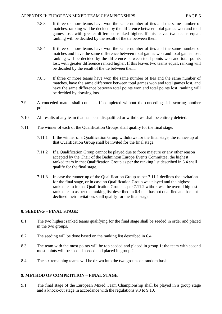- 7.8.3 If three or more teams have won the same number of ties and the same number of matches, ranking will be decided by the difference between total games won and total games lost, with greater difference ranked higher. If this leaves two teams equal, ranking will be decided by the result of the tie between them.
- 7.8.4 If three or more teams have won the same number of ties and the same number of matches and have the same difference between total games won and total games lost, ranking will be decided by the difference between total points won and total points lost, with greater difference ranked higher. If this leaves two teams equal, ranking will be decided by the result of the tie between them.
- 7.8.5 If three or more teams have won the same number of ties and the same number of matches, have the same difference between total games won and total games lost, and have the same difference between total points won and total points lost, ranking will be decided by drawing lots.
- 7.9 A conceded match shall count as if completed without the conceding side scoring another point.
- 7.10 All results of any team that has been disqualified or withdraws shall be entirely deleted.
- 7.11 The winner of each of the Qualification Groups shall qualify for the final stage.
	- 7.11.1 If the winner of a Qualification Group withdraws for the final stage, the runner-up of that Qualification Group shall be invited for the final stage.
	- 7.11.2 If a Qualification Group cannot be played due to force majeure or any other reason accepted by the Chair of the Badminton Europe Events Committee, the highest ranked team in that Qualification Group as per the ranking list described in 6.4 shall qualify for the final stage.
	- 7.11.3 In case the runner-up of the Qualification Group as per 7.11.1 declines the invitation for the final stage, or in case no Qualification Group was played and the highest ranked team in that Qualification Group as per 7.11.2 withdraws, the overall highest ranked team as per the ranking list described in 6.4 that has not qualified and has not declined their invitation, shall qualify for the final stage.

## **8. SEEDING – FINAL STAGE**

- 8.1 The two highest ranked teams qualifying for the final stage shall be seeded in order and placed in the two groups.
- 8.2 The seeding will be done based on the ranking list described in 6.4.
- 8.3 The team with the most points will be top seeded and placed in group 1; the team with second most points will be second seeded and placed in group 2.
- 8.4 The six remaining teams will be drawn into the two groups on random basis.

## **9. METHOD OF COMPETITION – FINAL STAGE**

9.1 The final stage of the European Mixed Team Championship shall be played in a group stage and a knock-out stage in accordance with the regulations 9.3 to 9.10.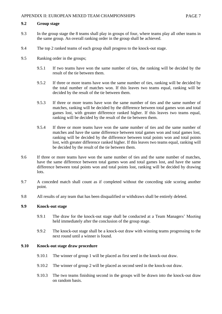## **9.2 Group stage**

- 9.3 In the group stage the 8 teams shall play in groups of four, where teams play all other teams in the same group. An overall ranking order in the group shall be achieved.
- 9.4 The top 2 ranked teams of each group shall progress to the knock-out stage.
- 9.5 Ranking order in the groups;
	- 9.5.1 If two teams have won the same number of ties, the ranking will be decided by the result of the tie between them.
	- 9.5.2 If three or more teams have won the same number of ties, ranking will be decided by the total number of matches won. If this leaves two teams equal, ranking will be decided by the result of the tie between them.
	- 9.5.3 If three or more teams have won the same number of ties and the same number of matches, ranking will be decided by the difference between total games won and total games lost, with greater difference ranked higher. If this leaves two teams equal, ranking will be decided by the result of the tie between them.
	- 9.5.4 If three or more teams have won the same number of ties and the same number of matches and have the same difference between total games won and total games lost, ranking will be decided by the difference between total points won and total points lost, with greater difference ranked higher. If this leaves two teams equal, ranking will be decided by the result of the tie between them.
- 9.6 If three or more teams have won the same number of ties and the same number of matches, have the same difference between total games won and total games lost, and have the same difference between total points won and total points lost, ranking will be decided by drawing lots.
- 9.7 A conceded match shall count as if completed without the conceding side scoring another point.
- 9.8 All results of any team that has been disqualified or withdraws shall be entirely deleted.

#### **9.9 Knock-out stage**

- 9.9.1 The draw for the knock-out stage shall be conducted at a Team Managers' Meeting held immediately after the conclusion of the group stage.
- 9.9.2 The knock-out stage shall be a knock-out draw with winning teams progressing to the next round until a winner is found.

## **9.10 Knock-out stage draw procedure**

- 9.10.1 The winner of group 1 will be placed as first seed in the knock-out draw.
- 9.10.2 The winner of group 2 will be placed as second seed in the knock-out draw.
- 9.10.3 The two teams finishing second in the groups will be drawn into the knock-out draw on random basis.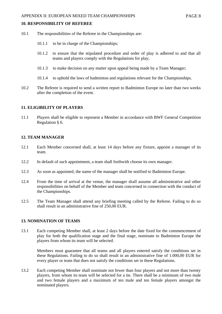## **10. RESPONSIBILITY OF REFEREE**

- 10.1 The responsibilities of the Referee in the Championships are:
	- 10.1.1 to be in charge of the Championships;
	- 10.1.2 to ensure that the stipulated procedure and order of play is adhered to and that all teams and players comply with the Regulations for play;
	- 10.1.3 to make decision on any matter upon appeal being made by a Team Manager;
	- 10.1.4 to uphold the laws of badminton and regulations relevant for the Championships.
- 10.2 The Referee is required to send a written report to Badminton Europe no later than two weeks after the completion of the event.

#### **11. ELIGIBILITY OF PLAYERS**

11.1 Players shall be eligible to represent a Member in accordance with BWF General Competition Regulation § 6.

## **12. TEAM MANAGER**

- 12.1 Each Member concerned shall, at least 14 days before any fixture, appoint a manager of its team.
- 12.2 In default of such appointment, a team shall forthwith choose its own manager.
- 12.3 As soon as appointed, the name of the manager shall be notified to Badminton Europe.
- 12.4 From the time of arrival at the venue, the manager shall assume all administrative and other responsibilities on behalf of the Member and team concerned in connection with the conduct of the Championships.
- 12.5 The Team Manager shall attend any briefing meeting called by the Referee. Failing to do so shall result in an administrative fine of 250,00 EUR.

## **13. NOMINATION OF TEAMS**

13.1 Each competing Member shall, at least 2 days before the date fixed for the commencement of play for both the qualification stage and the final stage, nominate to Badminton Europe the players from whom its team will be selected.

Members must guarantee that all teams and all players entered satisfy the conditions set in these Regulations. Failing to do so shall result in an administrative fine of 1.000,00 EUR for every player or team that does not satisfy the conditions set in these Regulations.

13.2 Each competing Member shall nominate not fewer than four players and not more than twenty players, from whom its team will be selected for a tie. There shall be a minimum of two male and two female players and a maximum of ten male and ten female players amongst the nominated players.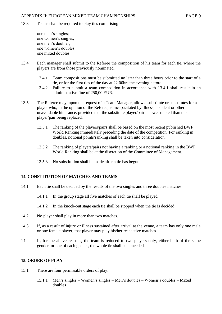13.3 Teams shall be required to play ties comprising:

one men's singles; one women's singles; one men's doubles; one women's doubles; one mixed doubles.

- 13.4 Each manager shall submit to the Referee the composition of his team for each tie, where the players are from those previously nominated.
	- 13.4.1 Team compositions must be submitted no later than three hours prior to the start of a tie, or for the first ties of the day at 22.00hrs the evening before.
	- 13.4.2 Failure to submit a team composition in accordance with 13.4.1 shall result in an administrative fine of 250,00 EUR.
- 13.5 The Referee may, upon the request of a Team Manager, allow a substitute or substitutes for a player who, in the opinion of the Referee, is incapacitated by illness, accident or other unavoidable hindrance, provided that the substitute player/pair is lower ranked than the player/pair being replaced.
	- 13.5.1 The ranking of the players/pairs shall be based on the most recent published BWF World Ranking immediately preceding the date of the competition. For ranking in doubles, notional points/ranking shall be taken into consideration.
	- 13.5.2 The ranking of players/pairs not having a ranking or a notional ranking in the BWF World Ranking shall be at the discretion of the Committee of Management.
	- 13.5.3 No substitution shall be made after a tie has begun.

## **14. CONSTITUTION OF MATCHES AND TEAMS**

- 14.1 Each tie shall be decided by the results of the two singles and three doubles matches.
	- 14.1.1 In the group stage all five matches of each tie shall be played.
	- 14.1.2 In the knock-out stage each tie shall be stopped when the tie is decided.
- 14.2 No player shall play in more than two matches.
- 14.3 If, as a result of injury or illness sustained after arrival at the venue, a team has only one male or one female player, that player may play his/her respective matches.
- 14.4 If, for the above reasons, the team is reduced to two players only, either both of the same gender, or one of each gender, the whole tie shall be conceded.

## **15. ORDER OF PLAY**

- 15.1 There are four permissible orders of play:
	- 15.1.1 Men's singles Women's singles Men's doubles Women's doubles Mixed doubles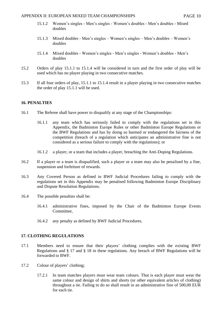- 15.1.2 Women's singles Men's singles Women's doubles Men's doubles Mixed doubles
- 15.1.3 Mixed doubles Men's singles Women's singles Men's doubles Women's doubles
- 15.1.4 Mixed doubles Women's singles Men's singles Women's doubles Men's doubles
- 15.2 Orders of play 15.1.1 to 15.1.4 will be considered in turn and the first order of play will be used which has no player playing in two consecutive matches.
- 15.3 If all four orders of play, 15.1.1 to 15.1.4 result in a player playing in two consecutive matches the order of play 15.1.1 will be used.

#### **16. PENALTIES**

- 16.1 The Referee shall have power to disqualify at any stage of the Championships:
	- 16.1.1 any team which has seriously failed to comply with the regulations set in this Appendix, the Badminton Europe Rules or other Badminton Europe Regulations or the BWF Regulations and has by doing so harmed or endangered the fairness of the competition (breach of a regulation which anticipates an administrative fine is not considered as a serious failure to comply with the regulations); or
	- 16.1.2 a player, or a team that includes a player, breaching the Anti-Doping Regulations.
- 16.2 If a player or a team is disqualified, such a player or a team may also be penalised by a fine, suspension and forfeiture of rewards.
- 16.3 Any Covered Person as defined in BWF Judicial Procedures failing to comply with the regulations set in this Appendix may be penalised following Badminton Europe Disciplinary and Dispute Resolution Regulations.
- 16.4 The possible penalties shall be:
	- 16.4.1 administrative fines, imposed by the Chair of the Badminton Europe Events Committee,
	- 16.4.2 any penalty as defined by BWF Judicial Procedures.

## **17. CLOTHING REGULATIONS**

- 17.1 Members need to ensure that their players' clothing complies with the existing BWF Regulations and § 17 and § 18 in these regulations. Any breach of BWF Regulations will be forwarded to BWF.
- 17.2 Colour of players' clothing;
	- 17.2.1 In team matches players must wear team colours. That is each player must wear the same colour and design of shirts and shorts (or other equivalent articles of clothing) throughout a tie. Failing to do so shall result in an administrative fine of 500,00 EUR for each tie.